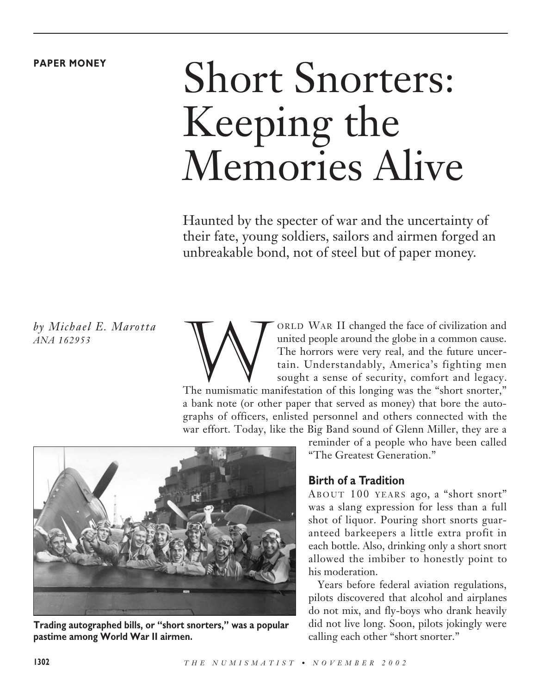#### **PAPER MONEY**

# Short Snorters: Keeping the Memories Alive

Haunted by the specter of war and the uncertainty of their fate, young soldiers, sailors and airmen forged an unbreakable bond, not of steel but of paper money.

*by Michael E. Marotta ANA 162953*

ORLD WAR II changed the face of civilization and<br>united people around the globe in a common cause.<br>The horrors were very real, and the future uncer-<br>tain. Understandably, America's fighting men<br>sought a sense of security, united people around the globe in a common cause. The horrors were very real, and the future uncertain. Understandably, America's fighting men sought a sense of security, comfort and legacy.

The numismatic manifestation of this longing was the "short snorter," a bank note (or other paper that served as money) that bore the autographs of officers, enlisted personnel and others connected with the war effort. Today, like the Big Band sound of Glenn Miller, they are a



**Trading autographed bills, or "short snorters," was a popular pastime among World War II airmen.**

reminder of a people who have been called "The Greatest Generation."

## **Birth of a Tradition**

ABOUT 100 YEARS ago, a "short snort" was a slang expression for less than a full shot of liquor. Pouring short snorts guaranteed barkeepers a little extra profit in each bottle. Also, drinking only a short snort allowed the imbiber to honestly point to his moderation.

Years before federal aviation regulations, pilots discovered that alcohol and airplanes do not mix, and fly-boys who drank heavily did not live long. Soon, pilots jokingly were calling each other "short snorter."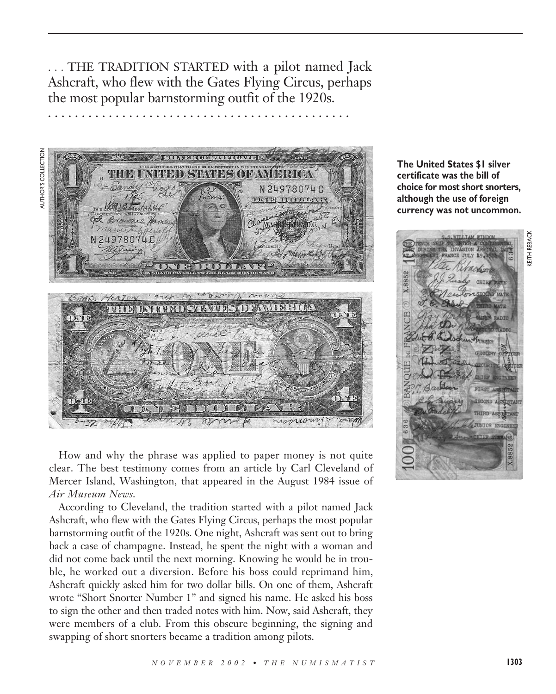. . . THE TRADITION STARTED with a pilot named Jack Ashcraft, who flew with the Gates Flying Circus, perhaps the most popular barnstorming outfit of the 1920s.

**. . . . . . . . . . . . . . . . . . . . . . . . . . . . . . . . . . . . . . . . . . . . .**



How and why the phrase was applied to paper money is not quite clear. The best testimony comes from an article by Carl Cleveland of Mercer Island, Washington, that appeared in the August 1984 issue of *Air Museum News*.

According to Cleveland, the tradition started with a pilot named Jack Ashcraft, who flew with the Gates Flying Circus, perhaps the most popular barnstorming outfit of the 1920s. One night, Ashcraft was sent out to bring back a case of champagne. Instead, he spent the night with a woman and did not come back until the next morning. Knowing he would be in trouble, he worked out a diversion. Before his boss could reprimand him, Ashcraft quickly asked him for two dollar bills. On one of them, Ashcraft wrote "Short Snorter Number 1" and signed his name. He asked his boss to sign the other and then traded notes with him. Now, said Ashcraft, they were members of a club. From this obscure beginning, the signing and swapping of short snorters became a tradition among pilots.

**The United States \$1 silver certificate was the bill of choice for most short snorters, although the use of foreign**

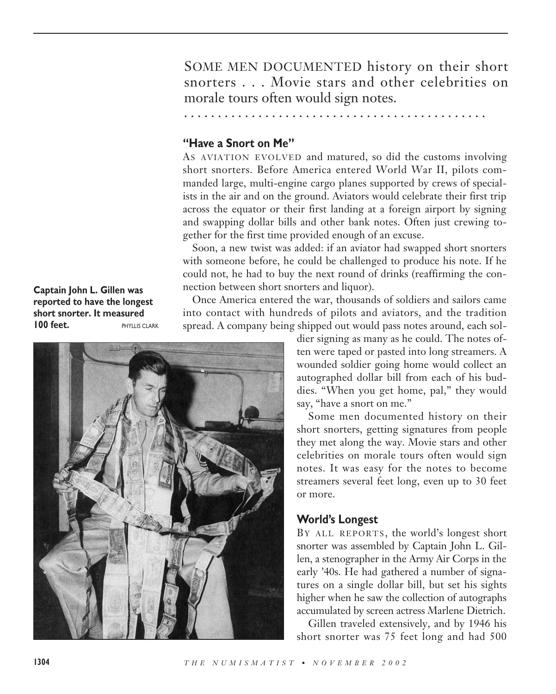SOME MEN DOCUMENTED history on their short snorters . . . Movie stars and other celebrities on morale tours often would sign notes.

**. . . . . . . . . . . . . . . . . . . . . . . . . . . . . . . . . . . . . . . . . . . . .**

**"Have a Snort on Me"**

AS AVIATION EVOLVED and matured, so did the customs involving short snorters. Before America entered World War II, pilots commanded large, multi-engine cargo planes supported by crews of specialists in the air and on the ground. Aviators would celebrate their first trip across the equator or their first landing at a foreign airport by signing and swapping dollar bills and other bank notes. Often just crewing together for the first time provided enough of an excuse.

Soon, a new twist was added: if an aviator had swapped short snorters with someone before, he could be challenged to produce his note. If he could not, he had to buy the next round of drinks (reaffirming the connection between short snorters and liquor).

Once America entered the war, thousands of soldiers and sailors came into contact with hundreds of pilots and aviators, and the tradition spread. A company being shipped out would pass notes around, each sol-

> dier signing as many as he could. The notes often were taped or pasted into long streamers. A wounded soldier going home would collect an autographed dollar bill from each of his buddies. "When you get home, pal," they would say, "have a snort on me."

> Some men documented history on their short snorters, getting signatures from people they met along the way. Movie stars and other celebrities on morale tours often would sign notes. It was easy for the notes to become streamers several feet long, even up to 30 feet or more.

## **World's Longest**

BY ALL REPORTS, the world's longest short snorter was assembled by Captain John L. Gillen, a stenographer in the Army Air Corps in the early '40s. He had gathered a number of signatures on a single dollar bill, but set his sights higher when he saw the collection of autographs accumulated by screen actress Marlene Dietrich.

Gillen traveled extensively, and by 1946 his short snorter was 75 feet long and had 500

**Captain John L. Gillen was reported to have the longest short snorter. It measured 100 feet.** PHYLLIS CLARK